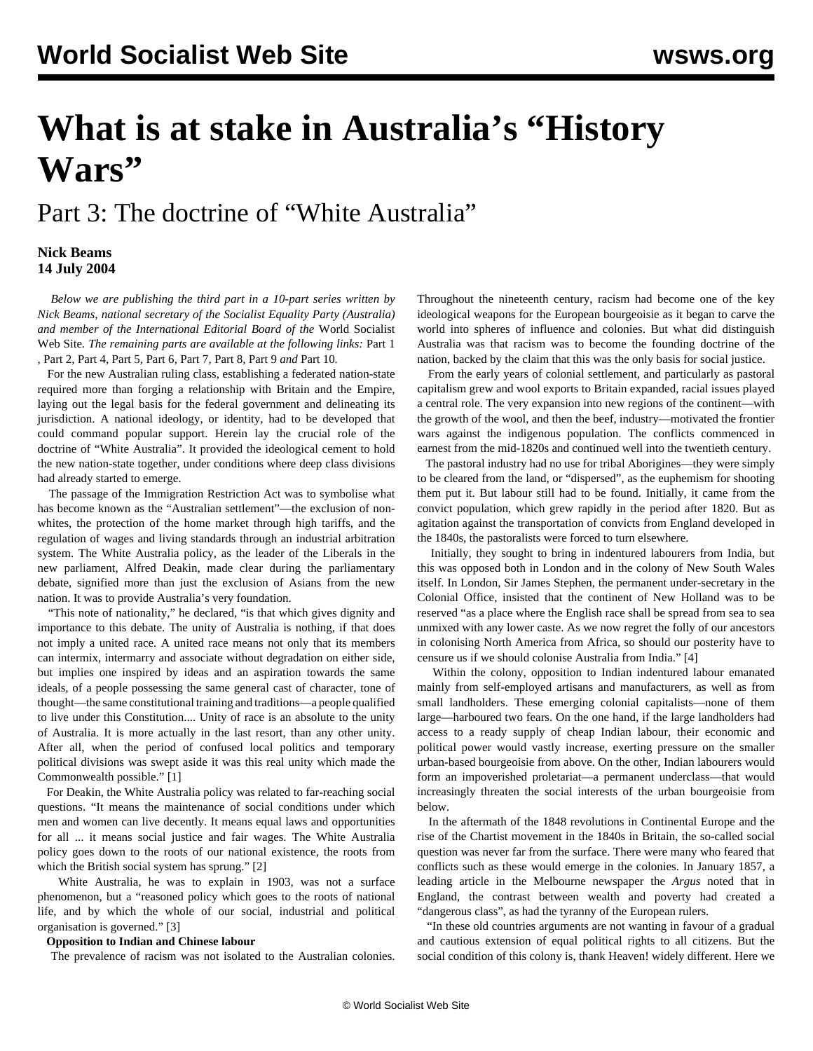# **What is at stake in Australia's "History Wars"**

## Part 3: The doctrine of "White Australia"

#### **Nick Beams 14 July 2004**

 *Below we are publishing the third part in a 10-part series written by Nick Beams, national secretary of the Socialist Equality Party (Australia) and member of the International Editorial Board of the* World Socialist Web Site*. The remaining parts are available at the following links:* [Part 1](/en/articles/2004/07/hiw1-j12.html) *,* [Part 2](/en/articles/2004/07/hiw2-j13.html)*,* [Part 4](/en/articles/2004/07/hiw4-j15.html)*,* [Part 5](/en/articles/2004/07/hiw5-j16.html)*,* [Part 6](/en/articles/2004/07/hiw6-j19.html)*,* [Part 7](/en/articles/2004/07/hiw7-j20.html)*,* [Part 8](/en/articles/2004/07/hiw8-j21.html)*,* [Part 9](/en/articles/2004/07/hiw9-j22.html) *and* [Part 10](/en/articles/2004/07/hw10-j23.html)*.*

 For the new Australian ruling class, establishing a federated nation-state required more than forging a relationship with Britain and the Empire, laying out the legal basis for the federal government and delineating its jurisdiction. A national ideology, or identity, had to be developed that could command popular support. Herein lay the crucial role of the doctrine of "White Australia". It provided the ideological cement to hold the new nation-state together, under conditions where deep class divisions had already started to emerge.

 The passage of the Immigration Restriction Act was to symbolise what has become known as the "Australian settlement"—the exclusion of nonwhites, the protection of the home market through high tariffs, and the regulation of wages and living standards through an industrial arbitration system. The White Australia policy, as the leader of the Liberals in the new parliament, Alfred Deakin, made clear during the parliamentary debate, signified more than just the exclusion of Asians from the new nation. It was to provide Australia's very foundation.

"This note of nationality," he declared, "is that which gives dignity and importance to this debate. The unity of Australia is nothing, if that does not imply a united race. A united race means not only that its members can intermix, intermarry and associate without degradation on either side, but implies one inspired by ideas and an aspiration towards the same ideals, of a people possessing the same general cast of character, tone of thought—the same constitutional training and traditions—a people qualified to live under this Constitution.... Unity of race is an absolute to the unity of Australia. It is more actually in the last resort, than any other unity. After all, when the period of confused local politics and temporary political divisions was swept aside it was this real unity which made the Commonwealth possible." [1]

 For Deakin, the White Australia policy was related to far-reaching social questions. "It means the maintenance of social conditions under which men and women can live decently. It means equal laws and opportunities for all ... it means social justice and fair wages. The White Australia policy goes down to the roots of our national existence, the roots from which the British social system has sprung." [2]

 White Australia, he was to explain in 1903, was not a surface phenomenon, but a "reasoned policy which goes to the roots of national life, and by which the whole of our social, industrial and political organisation is governed." [3]

#### **Opposition to Indian and Chinese labour**

The prevalence of racism was not isolated to the Australian colonies.

Throughout the nineteenth century, racism had become one of the key ideological weapons for the European bourgeoisie as it began to carve the world into spheres of influence and colonies. But what did distinguish Australia was that racism was to become the founding doctrine of the nation, backed by the claim that this was the only basis for social justice.

 From the early years of colonial settlement, and particularly as pastoral capitalism grew and wool exports to Britain expanded, racial issues played a central role. The very expansion into new regions of the continent—with the growth of the wool, and then the beef, industry—motivated the frontier wars against the indigenous population. The conflicts commenced in earnest from the mid-1820s and continued well into the twentieth century.

 The pastoral industry had no use for tribal Aborigines—they were simply to be cleared from the land, or "dispersed", as the euphemism for shooting them put it. But labour still had to be found. Initially, it came from the convict population, which grew rapidly in the period after 1820. But as agitation against the transportation of convicts from England developed in the 1840s, the pastoralists were forced to turn elsewhere.

 Initially, they sought to bring in indentured labourers from India, but this was opposed both in London and in the colony of New South Wales itself. In London, Sir James Stephen, the permanent under-secretary in the Colonial Office, insisted that the continent of New Holland was to be reserved "as a place where the English race shall be spread from sea to sea unmixed with any lower caste. As we now regret the folly of our ancestors in colonising North America from Africa, so should our posterity have to censure us if we should colonise Australia from India." [4]

 Within the colony, opposition to Indian indentured labour emanated mainly from self-employed artisans and manufacturers, as well as from small landholders. These emerging colonial capitalists—none of them large—harboured two fears. On the one hand, if the large landholders had access to a ready supply of cheap Indian labour, their economic and political power would vastly increase, exerting pressure on the smaller urban-based bourgeoisie from above. On the other, Indian labourers would form an impoverished proletariat—a permanent underclass—that would increasingly threaten the social interests of the urban bourgeoisie from below.

 In the aftermath of the 1848 revolutions in Continental Europe and the rise of the Chartist movement in the 1840s in Britain, the so-called social question was never far from the surface. There were many who feared that conflicts such as these would emerge in the colonies. In January 1857, a leading article in the Melbourne newspaper the *Argus* noted that in England, the contrast between wealth and poverty had created a "dangerous class", as had the tyranny of the European rulers.

 "In these old countries arguments are not wanting in favour of a gradual and cautious extension of equal political rights to all citizens. But the social condition of this colony is, thank Heaven! widely different. Here we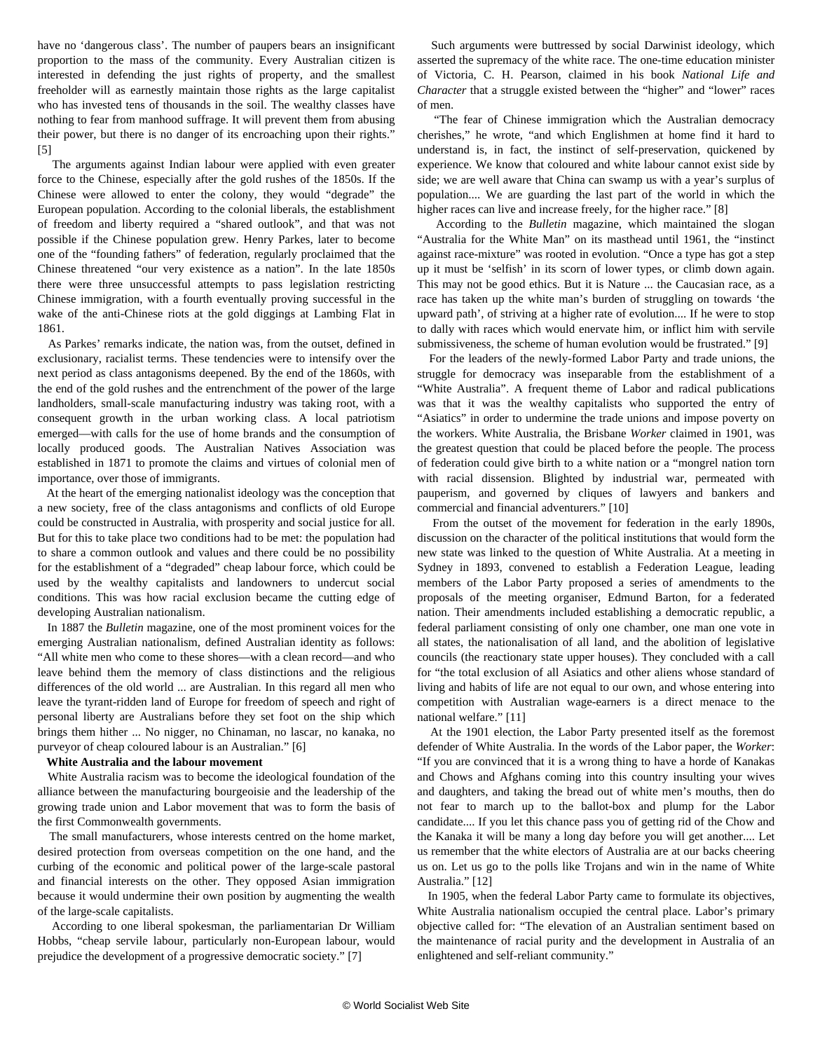have no 'dangerous class'. The number of paupers bears an insignificant proportion to the mass of the community. Every Australian citizen is interested in defending the just rights of property, and the smallest freeholder will as earnestly maintain those rights as the large capitalist who has invested tens of thousands in the soil. The wealthy classes have nothing to fear from manhood suffrage. It will prevent them from abusing their power, but there is no danger of its encroaching upon their rights." [5]

 The arguments against Indian labour were applied with even greater force to the Chinese, especially after the gold rushes of the 1850s. If the Chinese were allowed to enter the colony, they would "degrade" the European population. According to the colonial liberals, the establishment of freedom and liberty required a "shared outlook", and that was not possible if the Chinese population grew. Henry Parkes, later to become one of the "founding fathers" of federation, regularly proclaimed that the Chinese threatened "our very existence as a nation". In the late 1850s there were three unsuccessful attempts to pass legislation restricting Chinese immigration, with a fourth eventually proving successful in the wake of the anti-Chinese riots at the gold diggings at Lambing Flat in 1861.

 As Parkes' remarks indicate, the nation was, from the outset, defined in exclusionary, racialist terms. These tendencies were to intensify over the next period as class antagonisms deepened. By the end of the 1860s, with the end of the gold rushes and the entrenchment of the power of the large landholders, small-scale manufacturing industry was taking root, with a consequent growth in the urban working class. A local patriotism emerged—with calls for the use of home brands and the consumption of locally produced goods. The Australian Natives Association was established in 1871 to promote the claims and virtues of colonial men of importance, over those of immigrants.

 At the heart of the emerging nationalist ideology was the conception that a new society, free of the class antagonisms and conflicts of old Europe could be constructed in Australia, with prosperity and social justice for all. But for this to take place two conditions had to be met: the population had to share a common outlook and values and there could be no possibility for the establishment of a "degraded" cheap labour force, which could be used by the wealthy capitalists and landowners to undercut social conditions. This was how racial exclusion became the cutting edge of developing Australian nationalism.

 In 1887 the *Bulletin* magazine, one of the most prominent voices for the emerging Australian nationalism, defined Australian identity as follows: "All white men who come to these shores—with a clean record—and who leave behind them the memory of class distinctions and the religious differences of the old world ... are Australian. In this regard all men who leave the tyrant-ridden land of Europe for freedom of speech and right of personal liberty are Australians before they set foot on the ship which brings them hither ... No nigger, no Chinaman, no lascar, no kanaka, no purveyor of cheap coloured labour is an Australian." [6]

#### **White Australia and the labour movement**

 White Australia racism was to become the ideological foundation of the alliance between the manufacturing bourgeoisie and the leadership of the growing trade union and Labor movement that was to form the basis of the first Commonwealth governments.

 The small manufacturers, whose interests centred on the home market, desired protection from overseas competition on the one hand, and the curbing of the economic and political power of the large-scale pastoral and financial interests on the other. They opposed Asian immigration because it would undermine their own position by augmenting the wealth of the large-scale capitalists.

 According to one liberal spokesman, the parliamentarian Dr William Hobbs, "cheap servile labour, particularly non-European labour, would prejudice the development of a progressive democratic society." [7]

 Such arguments were buttressed by social Darwinist ideology, which asserted the supremacy of the white race. The one-time education minister of Victoria, C. H. Pearson, claimed in his book *National Life and Character* that a struggle existed between the "higher" and "lower" races of men.

 "The fear of Chinese immigration which the Australian democracy cherishes," he wrote, "and which Englishmen at home find it hard to understand is, in fact, the instinct of self-preservation, quickened by experience. We know that coloured and white labour cannot exist side by side; we are well aware that China can swamp us with a year's surplus of population.... We are guarding the last part of the world in which the higher races can live and increase freely, for the higher race." [8]

 According to the *Bulletin* magazine, which maintained the slogan "Australia for the White Man" on its masthead until 1961, the "instinct against race-mixture" was rooted in evolution. "Once a type has got a step up it must be 'selfish' in its scorn of lower types, or climb down again. This may not be good ethics. But it is Nature ... the Caucasian race, as a race has taken up the white man's burden of struggling on towards 'the upward path', of striving at a higher rate of evolution.... If he were to stop to dally with races which would enervate him, or inflict him with servile submissiveness, the scheme of human evolution would be frustrated." [9]

 For the leaders of the newly-formed Labor Party and trade unions, the struggle for democracy was inseparable from the establishment of a "White Australia". A frequent theme of Labor and radical publications was that it was the wealthy capitalists who supported the entry of "Asiatics" in order to undermine the trade unions and impose poverty on the workers. White Australia, the Brisbane *Worker* claimed in 1901, was the greatest question that could be placed before the people. The process of federation could give birth to a white nation or a "mongrel nation torn with racial dissension. Blighted by industrial war, permeated with pauperism, and governed by cliques of lawyers and bankers and commercial and financial adventurers." [10]

 From the outset of the movement for federation in the early 1890s, discussion on the character of the political institutions that would form the new state was linked to the question of White Australia. At a meeting in Sydney in 1893, convened to establish a Federation League, leading members of the Labor Party proposed a series of amendments to the proposals of the meeting organiser, Edmund Barton, for a federated nation. Their amendments included establishing a democratic republic, a federal parliament consisting of only one chamber, one man one vote in all states, the nationalisation of all land, and the abolition of legislative councils (the reactionary state upper houses). They concluded with a call for "the total exclusion of all Asiatics and other aliens whose standard of living and habits of life are not equal to our own, and whose entering into competition with Australian wage-earners is a direct menace to the national welfare." [11]

 At the 1901 election, the Labor Party presented itself as the foremost defender of White Australia. In the words of the Labor paper, the *Worker*: "If you are convinced that it is a wrong thing to have a horde of Kanakas and Chows and Afghans coming into this country insulting your wives and daughters, and taking the bread out of white men's mouths, then do not fear to march up to the ballot-box and plump for the Labor candidate.... If you let this chance pass you of getting rid of the Chow and the Kanaka it will be many a long day before you will get another.... Let us remember that the white electors of Australia are at our backs cheering us on. Let us go to the polls like Trojans and win in the name of White Australia." [12]

 In 1905, when the federal Labor Party came to formulate its objectives, White Australia nationalism occupied the central place. Labor's primary objective called for: "The elevation of an Australian sentiment based on the maintenance of racial purity and the development in Australia of an enlightened and self-reliant community."